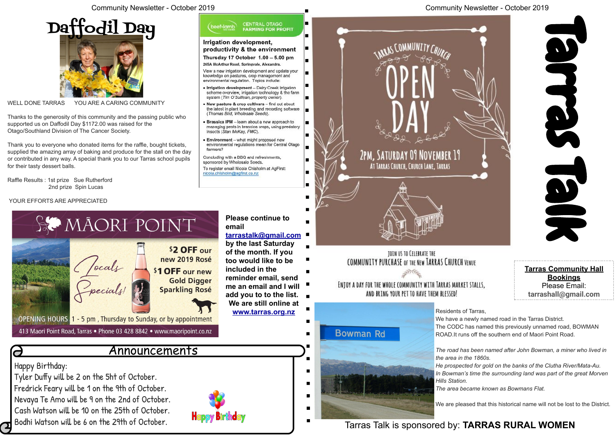

WELL DONE TARRAS YOU ARE A CARING COMMUNITY

Thanks to the generosity of this community and the passing public who supported us on Daffodil Day \$1172.00 was raised for the Otago/Southland Division of The Cancer Society.

Thank you to everyone who donated items for the raffle, bought tickets, supplied the amazing array of baking and produce for the stall on the day or contributed in any way. A special thank you to our Tarras school pupils for their tasty dessert balls.

Raffle Results : 1st prize Sue Rutherford 2nd prize Spin Lucas

YOUR EFFORTS ARE APPRECIATED

Happy Birthday:

Tyler Duffy will be 2 on the 5ht of October.

Fredrick Feary will be 1 on the 9th of October.

Nevaya Te Amo will be 9 on the 2nd of October.

Cash Watson will be 10 on the 25th of October.

Bodhi Watson will be 6 on the 29th of October.

### Community Newsletter - October 2019

Announcements

CENTRAL OTAGO<br>FARMING FOR PROFIT Irrigation development, H productivity & the environment Thursday 17 October 1.00 - 5.00 pm H. View a new irrigation development and update your l mi  $\blacksquare$ . Irrigation development - Dairy Creek Irrigation scheme overview, irrigation technology & the farm . New pasture & crop cultivars - find out about the latest in plant breeding and recording software  $\blacksquare$ Brassica IPM - learn about a new approach to managing pests in brassica crops, using predatory environmental regulations mean for Central Otago 2PM, SATURDAY 09 NOVEMBER 19 AT TARRAS CHURCH, CHURCH LANE, TARRAS **Please continue to [tarrastalk@gmail.com](mailto:tarrastalk@gmail.com) by the last Saturday of the month. If you**  TOIN US TO CELEBRATE THE **too would like to be**  COMMUNITY PURCHASE OF THE NEW TARRAS CHURCH VENUE **included in the reminder email, send**  ENTOY A DAY FOR THE WHOLE COMMUNITY WITH TARRAS MARKET STALLS, **me an email and I will**  AND BRING YOUR PET TO HAVE THEM BLESSED! **add you to to the list. We are still online at [www.tarras.org.nz](http://www.tarras.org.nz) Bowman Rd** 



Tarras Talk is sponsored by: **TARRAS RURAL WOMEN**

**Tarras Community Hall Bookings** Please Email:



Residents of Tarras, We have a newly named road in the Tarras District. The CODC has named this previously unnamed road, BOWMAN ROAD.It runs off the southern end of Maori Point Road.

*The road has been named after John Bowman, a miner who lived in*

*the area in the 1860s. Hills Station.*

*He prospected for gold on the banks of the Clutha River/Mata-Au. In Bowman's time the surrounding land was part of the great Morven*

*The area became known as Bowmans Flat.*

We are pleased that this historical name will not be lost to the District.